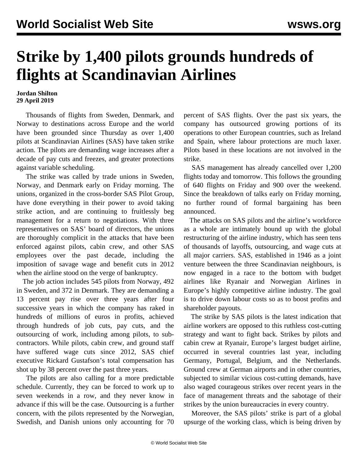## **Strike by 1,400 pilots grounds hundreds of flights at Scandinavian Airlines**

## **Jordan Shilton 29 April 2019**

 Thousands of flights from Sweden, Denmark, and Norway to destinations across Europe and the world have been grounded since Thursday as over 1,400 pilots at Scandinavian Airlines (SAS) have taken strike action. The pilots are demanding wage increases after a decade of pay cuts and freezes, and greater protections against variable scheduling.

 The strike was called by trade unions in Sweden, Norway, and Denmark early on Friday morning. The unions, organized in the cross-border SAS Pilot Group, have done everything in their power to avoid taking strike action, and are continuing to fruitlessly beg management for a return to negotiations. With three representatives on SAS' board of directors, the unions are thoroughly complicit in the attacks that have been enforced against pilots, cabin crew, and other SAS employees over the past decade, including the imposition of savage wage and benefit cuts in 2012 when the airline stood on the verge of bankruptcy.

 The job action includes 545 pilots from Norway, 492 in Sweden, and 372 in Denmark. They are demanding a 13 percent pay rise over three years after four successive years in which the company has raked in hundreds of millions of euros in profits, achieved through hundreds of job cuts, pay cuts, and the outsourcing of work, including among pilots, to subcontractors. While pilots, cabin crew, and ground staff have suffered wage cuts since 2012, SAS chief executive Rickard Gustafson's total compensation has shot up by 38 percent over the past three years.

 The pilots are also calling for a more predictable schedule. Currently, they can be forced to work up to seven weekends in a row, and they never know in advance if this will be the case. Outsourcing is a further concern, with the pilots represented by the Norwegian, Swedish, and Danish unions only accounting for 70

percent of SAS flights. Over the past six years, the company has outsourced growing portions of its operations to other European countries, such as Ireland and Spain, where labour protections are much laxer. Pilots based in these locations are not involved in the strike.

 SAS management has already cancelled over 1,200 flights today and tomorrow. This follows the grounding of 640 flights on Friday and 900 over the weekend. Since the breakdown of talks early on Friday morning, no further round of formal bargaining has been announced.

 The attacks on SAS pilots and the airline's workforce as a whole are intimately bound up with the global restructuring of the airline industry, which has seen tens of thousands of layoffs, outsourcing, and wage cuts at all major carriers. SAS, established in 1946 as a joint venture between the three Scandinavian neighbours, is now engaged in a race to the bottom with budget airlines like Ryanair and Norwegian Airlines in Europe's highly competitive airline industry. The goal is to drive down labour costs so as to boost profits and shareholder payouts.

 The strike by SAS pilots is the latest indication that airline workers are opposed to this ruthless cost-cutting strategy and want to fight back. Strikes by pilots and cabin crew at Ryanair, Europe's largest budget airline, occurred in several countries last year, including Germany, Portugal, Belgium, and the Netherlands. Ground crew at German airports and in other countries, subjected to similar vicious cost-cutting demands, have also waged courageous strikes over recent years in the face of management threats and the sabotage of their strikes by the union bureaucracies in every country.

 Moreover, the SAS pilots' strike is part of a global upsurge of the working class, which is being driven by